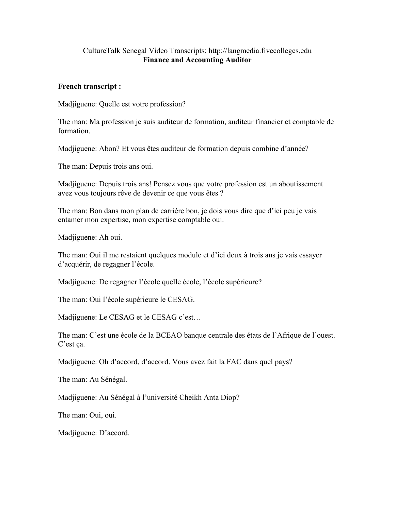## CultureTalk Senegal Video Transcripts: http://langmedia.fivecolleges.edu Finance and Accounting Auditor

## French transcript :

Madjiguene: Quelle est votre profession?

The man: Ma profession je suis auditeur de formation, auditeur financier et comptable de formation.

Madjiguene: Abon? Et vous êtes auditeur de formation depuis combine d'année?

The man: Depuis trois ans oui.

Madjiguene: Depuis trois ans! Pensez vous que votre profession est un aboutissement avez vous toujours rêve de devenir ce que vous êtes ?

The man: Bon dans mon plan de carrière bon, je dois vous dire que d'ici peu je vais entamer mon expertise, mon expertise comptable oui.

Madjiguene: Ah oui.

The man: Oui il me restaient quelques module et d'ici deux à trois ans je vais essayer d'acquérir, de regagner l'école.

Madjiguene: De regagner l'école quelle école, l'école supérieure?

The man: Oui l'école supérieure le CESAG.

Madjiguene: Le CESAG et le CESAG c'est…

The man: C'est une école de la BCEAO banque centrale des états de l'Afrique de l'ouest. C'est ça.

Madjiguene: Oh d'accord, d'accord. Vous avez fait la FAC dans quel pays?

The man: Au Sénégal.

Madjiguene: Au Sénégal à l'université Cheikh Anta Diop?

The man: Oui, oui.

Madjiguene: D'accord.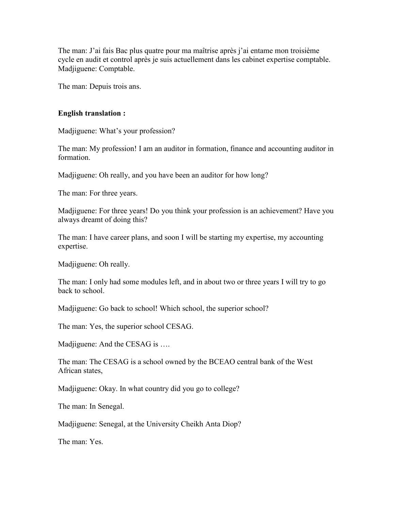The man: J'ai fais Bac plus quatre pour ma maîtrise après j'ai entame mon troisième cycle en audit et control après je suis actuellement dans les cabinet expertise comptable. Madjiguene: Comptable.

The man: Depuis trois ans.

## English translation :

Madjiguene: What's your profession?

The man: My profession! I am an auditor in formation, finance and accounting auditor in formation.

Madjiguene: Oh really, and you have been an auditor for how long?

The man: For three years.

Madjiguene: For three years! Do you think your profession is an achievement? Have you always dreamt of doing this?

The man: I have career plans, and soon I will be starting my expertise, my accounting expertise.

Madjiguene: Oh really.

The man: I only had some modules left, and in about two or three years I will try to go back to school.

Madjiguene: Go back to school! Which school, the superior school?

The man: Yes, the superior school CESAG.

Madiiguene: And the CESAG is ....

The man: The CESAG is a school owned by the BCEAO central bank of the West African states,

Madjiguene: Okay. In what country did you go to college?

The man: In Senegal.

Madjiguene: Senegal, at the University Cheikh Anta Diop?

The man: Yes.